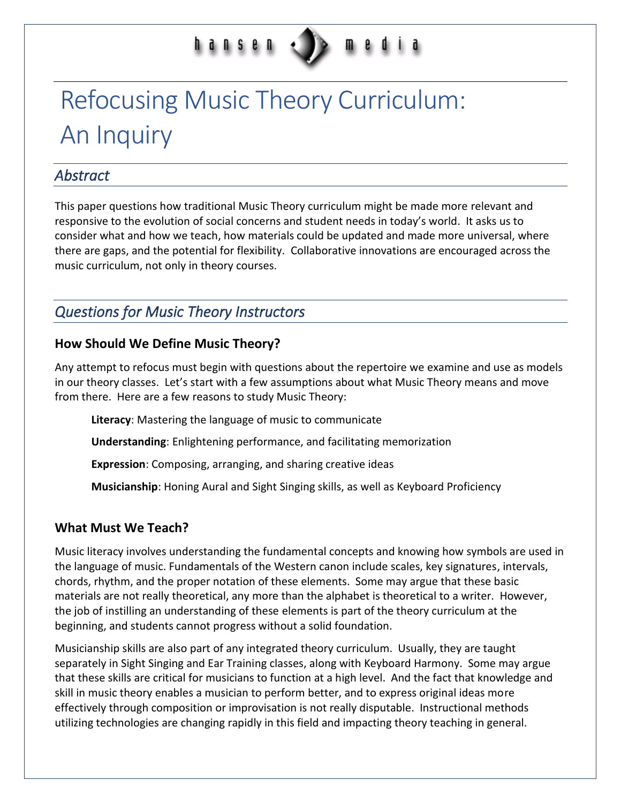# hansen

# Refocusing Music Theory Curriculum: An Inquiry

### *Abstract*

This paper questions how traditional Music Theory curriculum might be made more relevant and responsive to the evolution of social concerns and student needs in today's world. It asks us to consider what and how we teach, how materials could be updated and made more universal, where there are gaps, and the potential for flexibility. Collaborative innovations are encouraged across the music curriculum, not only in theory courses.

# *Questions for Music Theory Instructors*

#### **How Should We Define Music Theory?**

Any attempt to refocus must begin with questions about the repertoire we examine and use as models in our theory classes. Let's start with a few assumptions about what Music Theory means and move from there. Here are a few reasons to study Music Theory:

**Literacy**: Mastering the language of music to communicate

**Understanding**: Enlightening performance, and facilitating memorization

**Expression**: Composing, arranging, and sharing creative ideas

**Musicianship**: Honing Aural and Sight Singing skills, as well as Keyboard Proficiency

#### **What Must We Teach?**

Music literacy involves understanding the fundamental concepts and knowing how symbols are used in the language of music. Fundamentals of the Western canon include scales, key signatures, intervals, chords, rhythm, and the proper notation of these elements. Some may argue that these basic materials are not really theoretical, any more than the alphabet is theoretical to a writer. However, the job of instilling an understanding of these elements is part of the theory curriculum at the beginning, and students cannot progress without a solid foundation.

Musicianship skills are also part of any integrated theory curriculum. Usually, they are taught separately in Sight Singing and Ear Training classes, along with Keyboard Harmony. Some may argue that these skills are critical for musicians to function at a high level. And the fact that knowledge and skill in music theory enables a musician to perform better, and to express original ideas more effectively through composition or improvisation is not really disputable. Instructional methods utilizing technologies are changing rapidly in this field and impacting theory teaching in general.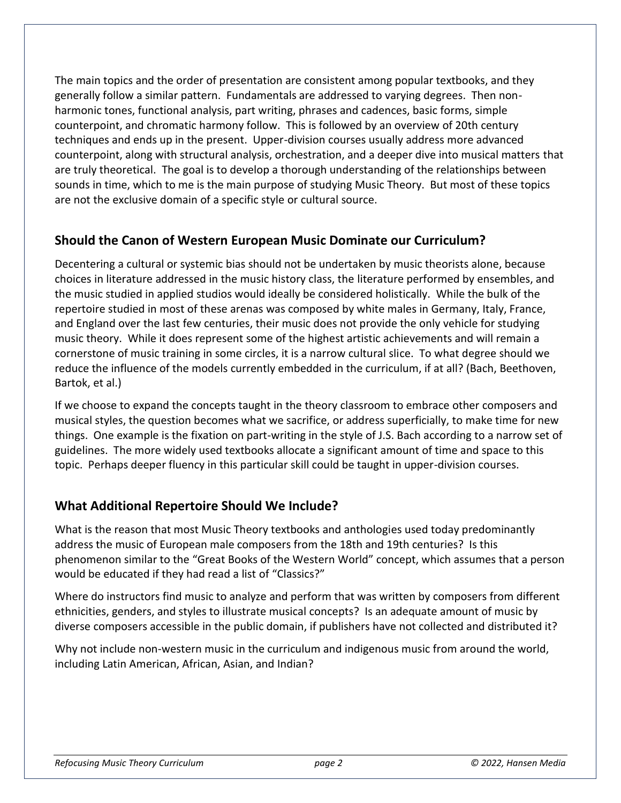The main topics and the order of presentation are consistent among popular textbooks, and they generally follow a similar pattern. Fundamentals are addressed to varying degrees. Then nonharmonic tones, functional analysis, part writing, phrases and cadences, basic forms, simple counterpoint, and chromatic harmony follow. This is followed by an overview of 20th century techniques and ends up in the present. Upper-division courses usually address more advanced counterpoint, along with structural analysis, orchestration, and a deeper dive into musical matters that are truly theoretical. The goal is to develop a thorough understanding of the relationships between sounds in time, which to me is the main purpose of studying Music Theory. But most of these topics are not the exclusive domain of a specific style or cultural source.

#### **Should the Canon of Western European Music Dominate our Curriculum?**

Decentering a cultural or systemic bias should not be undertaken by music theorists alone, because choices in literature addressed in the music history class, the literature performed by ensembles, and the music studied in applied studios would ideally be considered holistically. While the bulk of the repertoire studied in most of these arenas was composed by white males in Germany, Italy, France, and England over the last few centuries, their music does not provide the only vehicle for studying music theory. While it does represent some of the highest artistic achievements and will remain a cornerstone of music training in some circles, it is a narrow cultural slice. To what degree should we reduce the influence of the models currently embedded in the curriculum, if at all? (Bach, Beethoven, Bartok, et al.)

If we choose to expand the concepts taught in the theory classroom to embrace other composers and musical styles, the question becomes what we sacrifice, or address superficially, to make time for new things. One example is the fixation on part-writing in the style of J.S. Bach according to a narrow set of guidelines. The more widely used textbooks allocate a significant amount of time and space to this topic. Perhaps deeper fluency in this particular skill could be taught in upper-division courses.

#### **What Additional Repertoire Should We Include?**

What is the reason that most Music Theory textbooks and anthologies used today predominantly address the music of European male composers from the 18th and 19th centuries? Is this phenomenon similar to the "Great Books of the Western World" concept, which assumes that a person would be educated if they had read a list of "Classics?"

Where do instructors find music to analyze and perform that was written by composers from different ethnicities, genders, and styles to illustrate musical concepts? Is an adequate amount of music by diverse composers accessible in the public domain, if publishers have not collected and distributed it?

Why not include non-western music in the curriculum and indigenous music from around the world, including Latin American, African, Asian, and Indian?